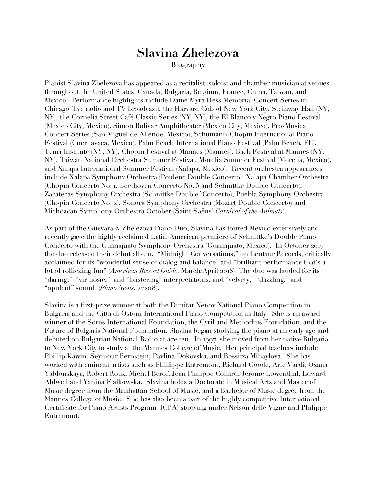## **Slavina Zhelezova** Biography

Pianist Slavina Zhelezova has appeared as a recitalist, soloist and chamber musician at venues throughout the United States, Canada, Bulgaria, Belgium, France, China, Taiwan, and Mexico. Performance highlights include Dame Myra Hess Memorial Concert Series in Chicago (live radio and TV broadcast), the Harvard Cub of New York City, Steinway Hall (NY, NY), the Cornelia Street Café Classic Series (NY, NY), the El Blanco y Negro Piano Festival (Mexico City, Mexico), Simon Bolivar Amphitheater (Mexico City, Mexico), Pro-Musica Concert Series (San Miguel de Allende, Mexico), Schumann-Chopin International Piano Festival (Cuernavaca, Mexico), Palm Beach International Piano Festival (Palm Beach, FL), Tenri Institute (NY, NY), Chopin Festival at Mannes (Mannes), Bach Festival at Mannes (NY, NY), Taiwan National Orchestra Summer Festival, Morelia Summer Festival (Morelia, Mexico), and Xalapa International Summer Festival (Xalapa, Mexico). Recent orchestra appearances include Xalapa Symphony Orchestra (Poulenc Double Concerto), Xalapa Chamber Orchestra (Chopin Concerto No. 1, Beethoven Concerto No. 5 and Schnittke Double Concerto), Zacatecas Symphony Orchestra (Schnittke Double `Concerto), Puebla Symphony Orchestra (Chopin Concerto No. 2), Sonora Symphony Orchestra (Mozart Double Concerto) and Michoacan Symphony Orchestra October (Saint-Saëns' *Carnival of the Animals*).

As part of the Guevara & Zhelezova Piano Duo, Slavina has toured Mexico extensively and recently gave the highly acclaimed Latin-American premiere of Schnittke's Double Piano Concerto with the Guanajuato Symphony Orchestra (Guanajuato, Mexico). In October 2017 the duo released their debut album, "Midnight Conversations," on Centaur Records, critically acclaimed for its "wonderful sense of dialog and balance" and "brilliant performance that's a lot of rollicking fun" (*American Record Guide,* March/April 2018). The duo was lauded for its "daring," "virtuosic," and "blistering" interpretations, and "velvety," "dazzling," and "opulent" sound (*Piano News*, 2/2018).

Slavina is a first-prize winner at both the Dimitar Nenov National Piano Competition in Bulgaria and the Citta di Ostuni International Piano Competition in Italy. She is an award winner of the Soros International Foundation, the Cyril and Methodius Foundation, and the Future of Bulgaria National Foundation. Slavina began studying the piano at an early age and debuted on Bulgarian National Radio at age ten. In 1997, she moved from her native Bulgaria to New York City to study at the Mannes College of Music. Her principal teachers include Phillip Kawin, Seymour Bernstein, Pavlina Dokovska, and Rossitza Mihaylova. She has worked with eminent artists such as Phillippe Entremont, Richard Goode, Arie Vardi, Oxana Yablonskaya, Robert Roux, Michel Berof, Jean Philippe Collard, Jerome Lowenthal, Edward Aldwell and Yanina Fialkowska. Slavina holds a Doctorate in Musical Arts and Master of Music degree from the Manhattan School of Music, and a Bachelor of Music degree from the Mannes College of Music. She has also been a part of the highly competitive International Certificate for Piano Artists Program (ICPA) studying under Nelson delle Vigne and Philippe Entremont.